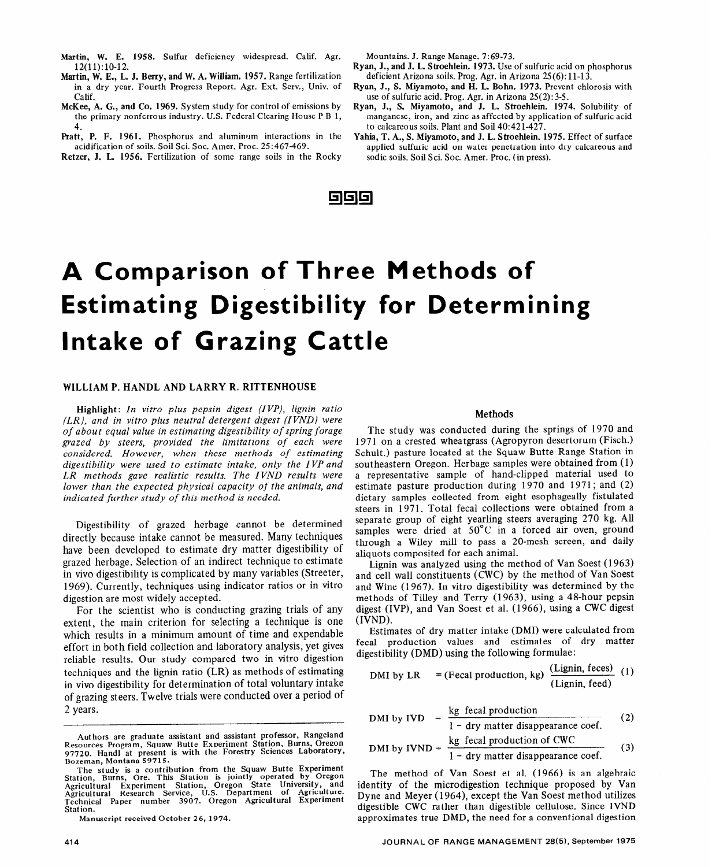# **A Comparison of Three Methods of Estimating Digestibility for Determining Intake of Grazing Cattle**

## WILLIAM P. HANDL AND LARRY R. RITTENHOUSE

Highlight: *In vitro plus pepsin digest (IVP), lignin ratio (LR), and in vitro plus neutral detergent digest (IVND) were of about equal value in estimating digestibility of spring forage grazed by steers, provided the limitations of each were considered. However, when these methods of estimating digestibility were used to estimate intake, only the IVP and LR methods gave realistic results. The IVND results were lower than the expected physical capacity of the animals, and indicated further study of this method is needed.* 

Digestibility of grazed herbage cannot be determined directly because intake cannot be measured. Many techniques have been developed to estimate dry matter digestibility of grazed herbage. Selection of an indirect technique to estimate in vivo digestibility is complicated by many variables (Streeter, 1969). Currently, techniques using indicator ratios or in vitro digestion are most widely accepted.

For the scientist who is conducting grazing trials of any extent, the main criterion for selecting a technique is one which results in a minimum amount of time and expendable effort in both field collection and laboratory analysis, yet gives reliable results. Our study compared two in vitro digestion techniques and the lignin ratio (LR) as methods of estimating in vivo digestibility for determination of total voluntary intake of grazing steers. Twelve trials were conducted over a period of 2 years.

Manuscript received **0** ctober 26, 1974.

#### Methods

The study was conducted during the springs of 1970 and 1971 on a crested wheatgrass (Agropyron desertorum (Fisch.) Schult.) pasture located at the Squaw Butte Range Station in southeastern Oregon. Herbage samples were obtained from (1) a representative sample of hand-clipped material used to estimate pasture production during 1970 and 1971; and (2) dietary samples collected from eight esophageally fistulated steers in 1971. Total fecal collections were obtained from a separate group of eight yearling steers averaging 270 kg. All samples were dried at  $50^{\circ}$ C in a forced air oven, ground through a Wiley mill to pass a 20-mesh screen, and daily aliquots cornposited for each animal.

Lignin was analyzed using the method of Van Soest (1963) and cell wall constituents (CWC) by the method of Van Soest and Wine (1967). In vitro digestibility was determined by the methods of Tilley and Terry (1963), using a 48-hour pepsin digest (IVP), and Van Soest et al. (1966), using a CWC digest (IVND).

Estimates of dry matter intake (DMI) were calculated from fecal production values and estimates of dry matter digestibility (DMD) using the following formulae:

DMI by LR = (Fecal production, kg)  $(\text{Lignin, feces})$  (1) (Lignin, feed)

DMI by IVD = 
$$
\frac{\text{kg} \text{ feed production}}{1 - \text{dry matter disappearance coef.}}
$$

\nDMI by IVND = 
$$
\frac{\text{kg} \text{ feed production of CWC}}{1 - \text{dry matter disappearance coef.}}
$$

\n(3)

The method of Van Soest et al. (1966) is an algebraic identity of the microdigestion technique proposed by Van Dyne and Meyer (1964), except the Van Soest method utilizes digestible CWC rather than digestible cellulose. Since IVND approximates true DMD, the need for a conventional digestion

Authors are graduate assistant and assistant professor, Rangeland Resources Program, Squaw Butte Experiment Station, Burns. Oregon 97720. Handl at present is with the Forestry Sciences Laboratory, Bozeman, Montana 59715.

The study is a contribution from the Squaw Butte Experiment Station, Burns, Ore. This Station is jointly operated by Oregon Agricultural Experiment Station, Oregon State University, and Agricultural Research Service, U.S. Department of Agriculture. Reflectivitation Research Service, September 1994.<br>Technical Paper number 3907. Oregon Agricultural Experiment Station.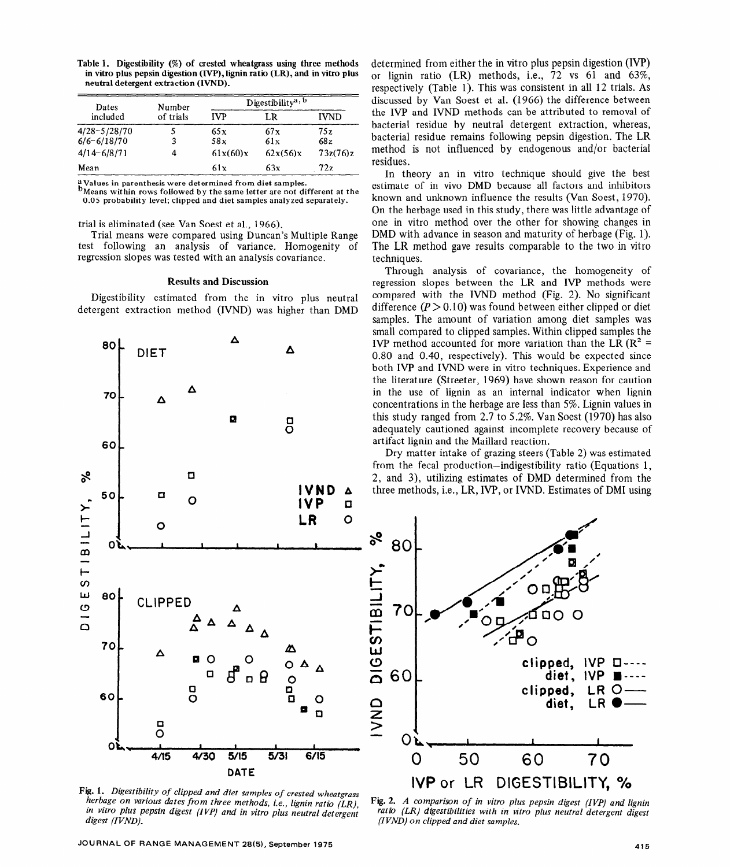**Table 1. Digestibility (%) of crested wheatgrass using three methods in vitro plus pepsin digestion (IVP), lignin ratio (LR), and in vitro plus neutral detergent extraction (IVND).** 

| Dates<br>included | Number<br>of trials | Digestibility <sup>a, b</sup> |          |             |
|-------------------|---------------------|-------------------------------|----------|-------------|
|                   |                     | <b>IVP</b>                    | LR       | <b>IVND</b> |
| $4/28 - 5/28/70$  |                     | 65x                           | 67x      | 75 z        |
| $6/6 - 6/18/70$   | 3                   | 58x                           | 61x      | 68z         |
| $4/14 - 6/8/71$   |                     | 61x(60)x                      | 62x(56)x | 73z(76)z    |
| Mean              |                     | 61 x                          | 63x      | 72z         |

**a Values in parenthesis were determined from diet samples.** 

**b** Means within rows followed by the same letter are not different at the 0.05 probability level; clipped and diet samples analyzed separately.

trial is eliminated (see Van Soest et al., 1966).

Trial means were compared using Duncan's Multiple Range test following an analysis of variance. Homogenity of regression slopes was tested with an analysis covariance.

#### Results and Discussion

Digestibility estimated from the in vitro plus neutral detergent extraction method (IVND) was higher than DMD



*Fig. 1. Digestibility of clipped and diet samples of crested wheatgrass herbage on various dates from three methods, i.e., lignin ratio (LR), in vitro plus pepsin digest (IVP) and in vitro plus neutral detergent digest (IVND).* 

JOURNAL OF RANGE MANAGEMENT 28(5), September 1975 **in the set of the set of the set of the set of the set of the** 

determined from either the in vitro plus pepsin digestion (IVF') or lignin ratio (LR) methods, i.e., 72 vs 61 and 63%, respectively (Table 1). This was consistent in all 12 trials. As discussed by Van Soest et al. (1966) the difference between the IVP and IVND methods can be attributed to removal of bacterial residue by neutral detergent extraction, whereas, bacterial residue remains following pepsin digestion. The LR method is not influenced by endogenous and/or bacterial residues.

In theory an in vitro technique should give the best estimate of in vivo DMD because all factors and inhibitors known and unknown influence the results (Van Soest, 1970). On the herbage used in this study, there was little advantage of one in vitro method over the other for showing changes in DMD with advance in season and maturity of herbage (Fig. 1). The LR method gave results comparable to the two in vitro techniques.

Through analysis of covariance, the homogeneity of regression slopes between the LR and IVP methods were compared with the IVND method (Fig. 2). No significant difference  $(P > 0.10)$  was found between either clipped or diet samples. The amount of variation among diet samples was small compared to clipped samples. Within clipped samples the IVP method accounted for more variation than the LR ( $\mathbb{R}^2$  = 0.80 and 0.40, respectively). This would be expected since both IVP and IVND were in vitro techniques. Experience and the literature (Streeter, 1969) have shown reason for caution in the use of lignin as an internal indicator when lignin concentrations in the herbage are less than 5%. Lignin values in this study ranged from 2.7 to 5.2%. Van Soest (1970) has also adequately cautioned against incomplete recovery because of artifact lignin and the Maillard reaction.

Dry matter intake of grazing steers (Table 2) was estimated from the fecal production-indigestibility ratio (Equations 1, 2, and 3), utilizing estimates of DMD determined from the three methods, i.e., LR, IVP, or IVND. Estimates of DMI using



**Fig.** *2. A comparison of in vitro plus pepsin digest (IVP) and lignin*  ratio (LR) digestibilities with in vitro plus neutral detergent digest *(IVND) on clipped and diet samples.*